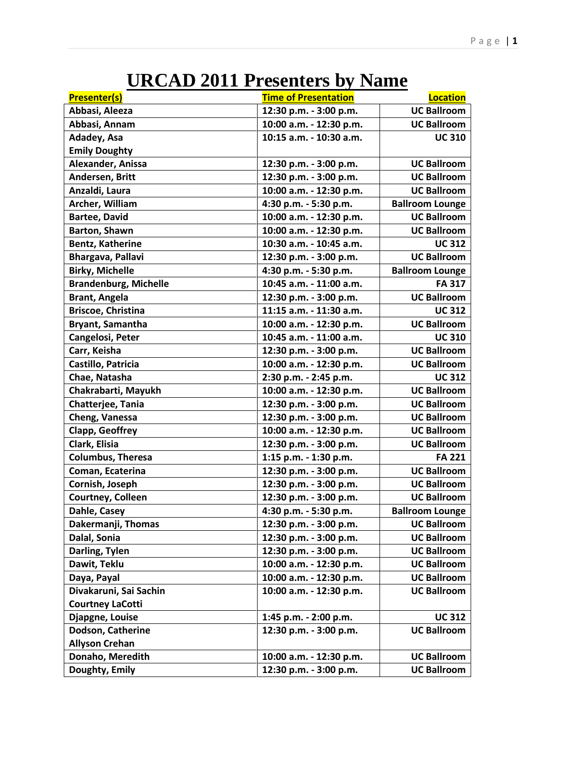## **URCAD 2011 Presenters by Name**

| <b>UC Ballroom</b><br>Abbasi, Aleeza<br>12:30 p.m. - 3:00 p.m.<br><b>UC Ballroom</b><br>Abbasi, Annam<br>10:00 a.m. - 12:30 p.m.<br>Adadey, Asa<br>10:15 a.m. - 10:30 a.m.<br><b>UC 310</b><br><b>Emily Doughty</b> |
|---------------------------------------------------------------------------------------------------------------------------------------------------------------------------------------------------------------------|
|                                                                                                                                                                                                                     |
|                                                                                                                                                                                                                     |
|                                                                                                                                                                                                                     |
|                                                                                                                                                                                                                     |
| Alexander, Anissa<br><b>UC Ballroom</b><br>12:30 p.m. - 3:00 p.m.                                                                                                                                                   |
| <b>UC Ballroom</b><br>Andersen, Britt<br>12:30 p.m. - 3:00 p.m.                                                                                                                                                     |
| <b>UC Ballroom</b><br>Anzaldi, Laura<br>10:00 a.m. - 12:30 p.m.                                                                                                                                                     |
| 4:30 p.m. - 5:30 p.m.<br>Archer, William<br><b>Ballroom Lounge</b>                                                                                                                                                  |
| <b>UC Ballroom</b><br><b>Bartee, David</b><br>10:00 a.m. - 12:30 p.m.                                                                                                                                               |
| Barton, Shawn<br><b>UC Ballroom</b><br>10:00 a.m. - 12:30 p.m.                                                                                                                                                      |
| <b>Bentz, Katherine</b><br>10:30 a.m. - 10:45 a.m.<br><b>UC 312</b>                                                                                                                                                 |
| Bhargava, Pallavi<br><b>UC Ballroom</b><br>12:30 p.m. - 3:00 p.m.                                                                                                                                                   |
| <b>Birky, Michelle</b><br>4:30 p.m. - 5:30 p.m.<br><b>Ballroom Lounge</b>                                                                                                                                           |
| <b>Brandenburg, Michelle</b><br>10:45 a.m. - 11:00 a.m.<br><b>FA 317</b>                                                                                                                                            |
| <b>Brant, Angela</b><br><b>UC Ballroom</b><br>12:30 p.m. - 3:00 p.m.                                                                                                                                                |
| <b>Briscoe, Christina</b><br>11:15 a.m. - 11:30 a.m.<br><b>UC312</b>                                                                                                                                                |
| Bryant, Samantha<br><b>UC Ballroom</b><br>10:00 a.m. - 12:30 p.m.                                                                                                                                                   |
| Cangelosi, Peter<br>10:45 a.m. - 11:00 a.m.<br><b>UC 310</b>                                                                                                                                                        |
| <b>UC Ballroom</b><br>Carr, Keisha<br>12:30 p.m. - 3:00 p.m.                                                                                                                                                        |
| Castillo, Patricia<br>10:00 a.m. - 12:30 p.m.<br><b>UC Ballroom</b>                                                                                                                                                 |
| Chae, Natasha<br>2:30 p.m. - 2:45 p.m.<br><b>UC 312</b>                                                                                                                                                             |
| Chakrabarti, Mayukh<br>10:00 a.m. - 12:30 p.m.<br><b>UC Ballroom</b>                                                                                                                                                |
| Chatterjee, Tania<br><b>UC Ballroom</b><br>12:30 p.m. - 3:00 p.m.                                                                                                                                                   |
| Cheng, Vanessa<br>12:30 p.m. - 3:00 p.m.<br><b>UC Ballroom</b>                                                                                                                                                      |
| Clapp, Geoffrey<br><b>UC Ballroom</b><br>10:00 a.m. - 12:30 p.m.                                                                                                                                                    |
| Clark, Elisia<br><b>UC Ballroom</b><br>12:30 p.m. - 3:00 p.m.                                                                                                                                                       |
| <b>Columbus, Theresa</b><br><b>FA 221</b><br>1:15 p.m. - 1:30 p.m.                                                                                                                                                  |
| <b>UC Ballroom</b><br>Coman, Ecaterina<br>12:30 p.m. - 3:00 p.m.                                                                                                                                                    |
| <b>UC Ballroom</b><br>Cornish, Joseph<br>12:30 p.m. - 3:00 p.m.                                                                                                                                                     |
| 12:30 p.m. - 3:00 p.m.<br>Courtney, Colleen<br><b>UC Ballroom</b>                                                                                                                                                   |
| Dahle, Casey<br>4:30 p.m. - 5:30 p.m.<br><b>Ballroom Lounge</b>                                                                                                                                                     |
| Dakermanji, Thomas<br>12:30 p.m. - 3:00 p.m.<br><b>UC Ballroom</b>                                                                                                                                                  |
| Dalal, Sonia<br>12:30 p.m. - 3:00 p.m.<br><b>UC Ballroom</b>                                                                                                                                                        |
| 12:30 p.m. - 3:00 p.m.<br><b>UC Ballroom</b><br>Darling, Tylen                                                                                                                                                      |
| Dawit, Teklu<br>10:00 a.m. - 12:30 p.m.<br><b>UC Ballroom</b>                                                                                                                                                       |
| Daya, Payal<br>10:00 a.m. - 12:30 p.m.<br><b>UC Ballroom</b>                                                                                                                                                        |
| Divakaruni, Sai Sachin<br>10:00 a.m. - 12:30 p.m.<br><b>UC Ballroom</b>                                                                                                                                             |
| <b>Courtney LaCotti</b>                                                                                                                                                                                             |
| Djapgne, Louise<br>1:45 p.m. - 2:00 p.m.<br><b>UC 312</b>                                                                                                                                                           |
| Dodson, Catherine<br>12:30 p.m. - 3:00 p.m.<br><b>UC Ballroom</b>                                                                                                                                                   |
| <b>Allyson Crehan</b>                                                                                                                                                                                               |
| Donaho, Meredith<br><b>UC Ballroom</b><br>10:00 a.m. - 12:30 p.m.                                                                                                                                                   |
| Doughty, Emily<br>12:30 p.m. - 3:00 p.m.<br><b>UC Ballroom</b>                                                                                                                                                      |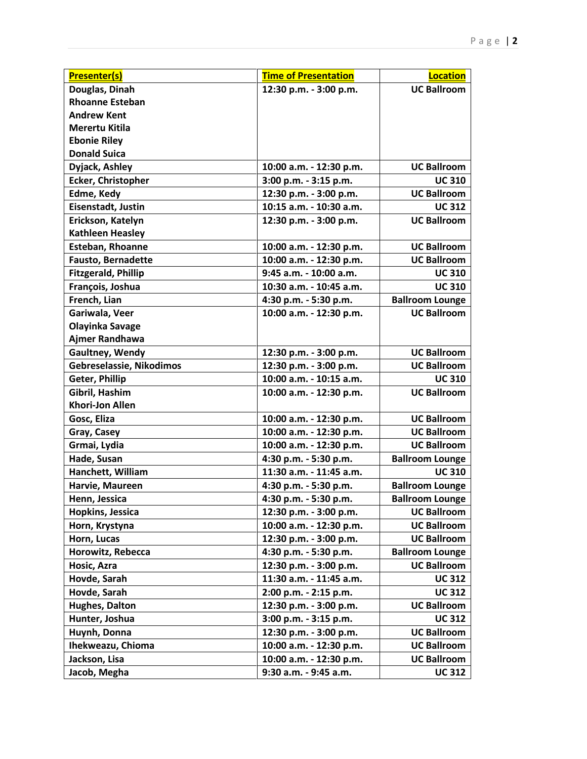| <b>Presenter(s)</b>        | <b>Time of Presentation</b> | <b>Location</b>        |
|----------------------------|-----------------------------|------------------------|
| Douglas, Dinah             | 12:30 p.m. - 3:00 p.m.      | <b>UC Ballroom</b>     |
| <b>Rhoanne Esteban</b>     |                             |                        |
| <b>Andrew Kent</b>         |                             |                        |
| <b>Merertu Kitila</b>      |                             |                        |
| <b>Ebonie Riley</b>        |                             |                        |
| <b>Donald Suica</b>        |                             |                        |
| Dyjack, Ashley             | 10:00 a.m. - 12:30 p.m.     | <b>UC Ballroom</b>     |
| <b>Ecker, Christopher</b>  | 3:00 p.m. - 3:15 p.m.       | <b>UC 310</b>          |
| Edme, Kedy                 | 12:30 p.m. - 3:00 p.m.      | <b>UC Ballroom</b>     |
| Eisenstadt, Justin         | 10:15 a.m. - 10:30 a.m.     | <b>UC 312</b>          |
| Erickson, Katelyn          | 12:30 p.m. - 3:00 p.m.      | <b>UC Ballroom</b>     |
| <b>Kathleen Heasley</b>    |                             |                        |
| <b>Esteban, Rhoanne</b>    | 10:00 a.m. - 12:30 p.m.     | <b>UC Ballroom</b>     |
| <b>Fausto, Bernadette</b>  | 10:00 a.m. - 12:30 p.m.     | <b>UC Ballroom</b>     |
| <b>Fitzgerald, Phillip</b> | 9:45 a.m. - 10:00 a.m.      | <b>UC 310</b>          |
| François, Joshua           | 10:30 a.m. - 10:45 a.m.     | <b>UC 310</b>          |
| French, Lian               | 4:30 p.m. - 5:30 p.m.       | <b>Ballroom Lounge</b> |
| Gariwala, Veer             | 10:00 a.m. - 12:30 p.m.     | <b>UC Ballroom</b>     |
| <b>Olayinka Savage</b>     |                             |                        |
| Ajmer Randhawa             |                             |                        |
| Gaultney, Wendy            | 12:30 p.m. - 3:00 p.m.      | <b>UC Ballroom</b>     |
| Gebreselassie, Nikodimos   | 12:30 p.m. - 3:00 p.m.      | <b>UC Ballroom</b>     |
| Geter, Phillip             | 10:00 a.m. - 10:15 a.m.     | <b>UC 310</b>          |
| Gibril, Hashim             | 10:00 a.m. - 12:30 p.m.     | <b>UC Ballroom</b>     |
| <b>Khori-Jon Allen</b>     |                             |                        |
| Gosc, Eliza                | 10:00 a.m. - 12:30 p.m.     | <b>UC Ballroom</b>     |
| Gray, Casey                | 10:00 a.m. - 12:30 p.m.     | <b>UC Ballroom</b>     |
| Grmai, Lydia               | 10:00 a.m. - 12:30 p.m.     | <b>UC Ballroom</b>     |
| Hade, Susan                | 4:30 p.m. - 5:30 p.m.       | <b>Ballroom Lounge</b> |
| Hanchett, William          | 11:30 a.m. - 11:45 a.m.     | <b>UC 310</b>          |
| Harvie, Maureen            | 4:30 p.m. - 5:30 p.m.       | <b>Ballroom Lounge</b> |
| Henn, Jessica              | 4:30 p.m. - 5:30 p.m.       | <b>Ballroom Lounge</b> |
| Hopkins, Jessica           | 12:30 p.m. - 3:00 p.m.      | <b>UC Ballroom</b>     |
| Horn, Krystyna             | 10:00 a.m. - 12:30 p.m.     | <b>UC Ballroom</b>     |
| Horn, Lucas                | 12:30 p.m. - 3:00 p.m.      | <b>UC Ballroom</b>     |
| Horowitz, Rebecca          | 4:30 p.m. - 5:30 p.m.       | <b>Ballroom Lounge</b> |
| Hosic, Azra                | 12:30 p.m. - 3:00 p.m.      | <b>UC Ballroom</b>     |
| Hovde, Sarah               | 11:30 a.m. - 11:45 a.m.     | <b>UC 312</b>          |
| Hovde, Sarah               | 2:00 p.m. - 2:15 p.m.       | <b>UC 312</b>          |
| Hughes, Dalton             | 12:30 p.m. - 3:00 p.m.      | <b>UC Ballroom</b>     |
| Hunter, Joshua             | 3:00 p.m. - 3:15 p.m.       | <b>UC 312</b>          |
| Huynh, Donna               | 12:30 p.m. - 3:00 p.m.      | <b>UC Ballroom</b>     |
| Ihekweazu, Chioma          | 10:00 a.m. - 12:30 p.m.     | <b>UC Ballroom</b>     |
| Jackson, Lisa              | 10:00 a.m. - 12:30 p.m.     | <b>UC Ballroom</b>     |
| Jacob, Megha               | 9:30 a.m. - 9:45 a.m.       | <b>UC 312</b>          |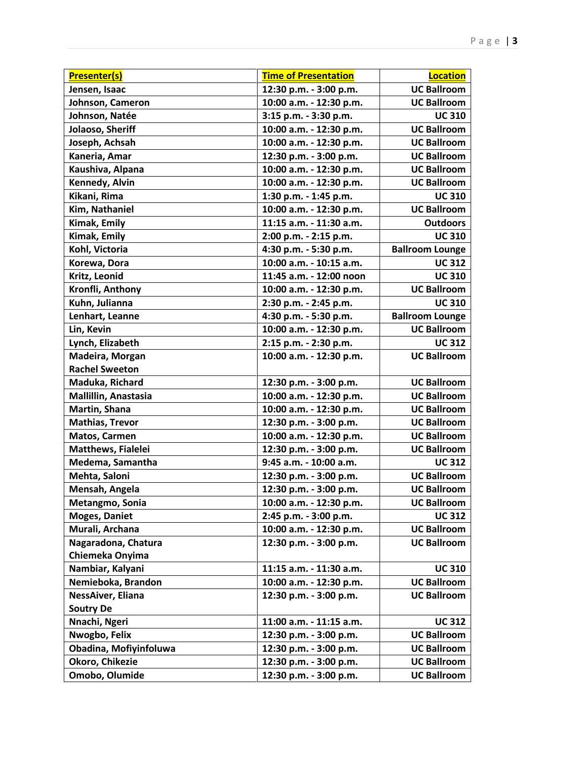| <b>Presenter(s)</b>       | <b>Time of Presentation</b> | <b>Location</b>        |
|---------------------------|-----------------------------|------------------------|
| Jensen, Isaac             | 12:30 p.m. - 3:00 p.m.      | <b>UC Ballroom</b>     |
| Johnson, Cameron          | 10:00 a.m. - 12:30 p.m.     | <b>UC Ballroom</b>     |
| Johnson, Natée            | 3:15 p.m. - 3:30 p.m.       | <b>UC 310</b>          |
| Jolaoso, Sheriff          | 10:00 a.m. - 12:30 p.m.     | <b>UC Ballroom</b>     |
| Joseph, Achsah            | 10:00 a.m. - 12:30 p.m.     | <b>UC Ballroom</b>     |
| Kaneria, Amar             | 12:30 p.m. - 3:00 p.m.      | <b>UC Ballroom</b>     |
| Kaushiva, Alpana          | 10:00 a.m. - 12:30 p.m.     | <b>UC Ballroom</b>     |
| Kennedy, Alvin            | 10:00 a.m. - 12:30 p.m.     | <b>UC Ballroom</b>     |
| Kikani, Rima              | 1:30 p.m. - 1:45 p.m.       | <b>UC 310</b>          |
| Kim, Nathaniel            | 10:00 a.m. - 12:30 p.m.     | <b>UC Ballroom</b>     |
| <b>Kimak, Emily</b>       | 11:15 a.m. - 11:30 a.m.     | <b>Outdoors</b>        |
| <b>Kimak, Emily</b>       | 2:00 p.m. - 2:15 p.m.       | <b>UC 310</b>          |
| Kohl, Victoria            | 4:30 p.m. - 5:30 p.m.       | <b>Ballroom Lounge</b> |
| Korewa, Dora              | 10:00 a.m. - 10:15 a.m.     | <b>UC 312</b>          |
| Kritz, Leonid             | 11:45 a.m. - 12:00 noon     | <b>UC 310</b>          |
| Kronfli, Anthony          | 10:00 a.m. - 12:30 p.m.     | <b>UC Ballroom</b>     |
| Kuhn, Julianna            | 2:30 p.m. - 2:45 p.m.       | <b>UC 310</b>          |
| Lenhart, Leanne           | 4:30 p.m. - 5:30 p.m.       | <b>Ballroom Lounge</b> |
| Lin, Kevin                | 10:00 a.m. - 12:30 p.m.     | <b>UC Ballroom</b>     |
| Lynch, Elizabeth          | 2:15 p.m. - 2:30 p.m.       | <b>UC 312</b>          |
| Madeira, Morgan           | 10:00 a.m. - 12:30 p.m.     | <b>UC Ballroom</b>     |
| <b>Rachel Sweeton</b>     |                             |                        |
| Maduka, Richard           | 12:30 p.m. - 3:00 p.m.      | <b>UC Ballroom</b>     |
| Mallillin, Anastasia      | 10:00 a.m. - 12:30 p.m.     | <b>UC Ballroom</b>     |
| Martin, Shana             | 10:00 a.m. - 12:30 p.m.     | <b>UC Ballroom</b>     |
| <b>Mathias, Trevor</b>    | 12:30 p.m. - 3:00 p.m.      | <b>UC Ballroom</b>     |
| Matos, Carmen             | 10:00 a.m. - 12:30 p.m.     | <b>UC Ballroom</b>     |
| <b>Matthews, Fialelei</b> | 12:30 p.m. - 3:00 p.m.      | <b>UC Ballroom</b>     |
| Medema, Samantha          | 9:45 a.m. - 10:00 a.m.      | <b>UC 312</b>          |
| Mehta, Saloni             | 12:30 p.m. - 3:00 p.m.      | <b>UC Ballroom</b>     |
| Mensah, Angela            | 12:30 p.m. - 3:00 p.m.      | <b>UC Ballroom</b>     |
| Metangmo, Sonia           | 10:00 a.m. - 12:30 p.m.     | <b>UC Ballroom</b>     |
| <b>Moges, Daniet</b>      | 2:45 p.m. - 3:00 p.m.       | <b>UC 312</b>          |
| Murali, Archana           | 10:00 a.m. - 12:30 p.m.     | <b>UC Ballroom</b>     |
| Nagaradona, Chatura       | 12:30 p.m. - 3:00 p.m.      | <b>UC Ballroom</b>     |
| Chiemeka Onyima           |                             |                        |
| Nambiar, Kalyani          | 11:15 a.m. - 11:30 a.m.     | <b>UC 310</b>          |
| Nemieboka, Brandon        | 10:00 a.m. - 12:30 p.m.     | <b>UC Ballroom</b>     |
| NessAiver, Eliana         | 12:30 p.m. - 3:00 p.m.      | <b>UC Ballroom</b>     |
| <b>Soutry De</b>          |                             |                        |
| Nnachi, Ngeri             | 11:00 a.m. - 11:15 a.m.     | <b>UC 312</b>          |
| Nwogbo, Felix             | 12:30 p.m. - 3:00 p.m.      | <b>UC Ballroom</b>     |
| Obadina, Mofiyinfoluwa    | 12:30 p.m. - 3:00 p.m.      | <b>UC Ballroom</b>     |
| Okoro, Chikezie           | 12:30 p.m. - 3:00 p.m.      | <b>UC Ballroom</b>     |
| Omobo, Olumide            | 12:30 p.m. - 3:00 p.m.      | <b>UC Ballroom</b>     |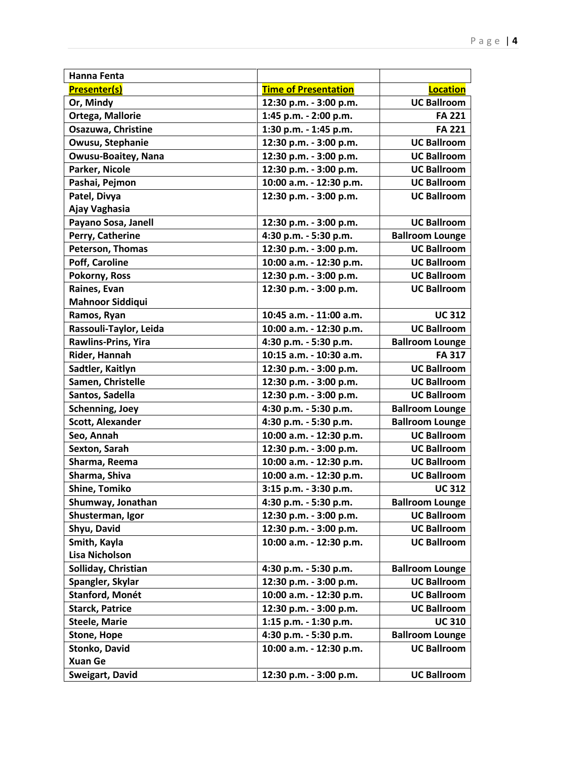| <b>Hanna Fenta</b>         |                             |                        |
|----------------------------|-----------------------------|------------------------|
| <b>Presenter(s)</b>        | <b>Time of Presentation</b> | <b>Location</b>        |
| Or, Mindy                  | 12:30 p.m. - 3:00 p.m.      | <b>UC Ballroom</b>     |
| Ortega, Mallorie           | 1:45 p.m. - 2:00 p.m.       | <b>FA 221</b>          |
| Osazuwa, Christine         | 1:30 p.m. - 1:45 p.m.       | <b>FA 221</b>          |
| Owusu, Stephanie           | 12:30 p.m. - 3:00 p.m.      | <b>UC Ballroom</b>     |
| <b>Owusu-Boaitey, Nana</b> | 12:30 p.m. - 3:00 p.m.      | <b>UC Ballroom</b>     |
| Parker, Nicole             | 12:30 p.m. - 3:00 p.m.      | <b>UC Ballroom</b>     |
| Pashai, Pejmon             | 10:00 a.m. - 12:30 p.m.     | <b>UC Ballroom</b>     |
| Patel, Divya               | 12:30 p.m. - 3:00 p.m.      | <b>UC Ballroom</b>     |
| Ajay Vaghasia              |                             |                        |
| Payano Sosa, Janell        | 12:30 p.m. - 3:00 p.m.      | <b>UC Ballroom</b>     |
| Perry, Catherine           | 4:30 p.m. - 5:30 p.m.       | <b>Ballroom Lounge</b> |
| Peterson, Thomas           | 12:30 p.m. - 3:00 p.m.      | <b>UC Ballroom</b>     |
| Poff, Caroline             | 10:00 a.m. - 12:30 p.m.     | <b>UC Ballroom</b>     |
| Pokorny, Ross              | 12:30 p.m. - 3:00 p.m.      | <b>UC Ballroom</b>     |
| Raines, Evan               | 12:30 p.m. - 3:00 p.m.      | <b>UC Ballroom</b>     |
| <b>Mahnoor Siddiqui</b>    |                             |                        |
| Ramos, Ryan                | 10:45 a.m. - 11:00 a.m.     | <b>UC 312</b>          |
| Rassouli-Taylor, Leida     | 10:00 a.m. - 12:30 p.m.     | <b>UC Ballroom</b>     |
| Rawlins-Prins, Yira        | 4:30 p.m. - 5:30 p.m.       | <b>Ballroom Lounge</b> |
| Rider, Hannah              | 10:15 a.m. - 10:30 a.m.     | <b>FA 317</b>          |
| Sadtler, Kaitlyn           | 12:30 p.m. - 3:00 p.m.      | <b>UC Ballroom</b>     |
| Samen, Christelle          | 12:30 p.m. - 3:00 p.m.      | <b>UC Ballroom</b>     |
| Santos, Sadella            | 12:30 p.m. - 3:00 p.m.      | <b>UC Ballroom</b>     |
| <b>Schenning, Joey</b>     | 4:30 p.m. - 5:30 p.m.       | <b>Ballroom Lounge</b> |
| <b>Scott, Alexander</b>    | 4:30 p.m. - 5:30 p.m.       | <b>Ballroom Lounge</b> |
| Seo, Annah                 | 10:00 a.m. - 12:30 p.m.     | <b>UC Ballroom</b>     |
| Sexton, Sarah              | 12:30 p.m. - 3:00 p.m.      | <b>UC Ballroom</b>     |
| Sharma, Reema              | 10:00 a.m. - 12:30 p.m.     | <b>UC Ballroom</b>     |
| Sharma, Shiva              | 10:00 a.m. - 12:30 p.m.     | <b>UC Ballroom</b>     |
| <b>Shine, Tomiko</b>       | 3:15 p.m. - 3:30 p.m.       | <b>UC 312</b>          |
| Shumway, Jonathan          | 4:30 p.m. - 5:30 p.m.       | <b>Ballroom Lounge</b> |
| Shusterman, Igor           | 12:30 p.m. - 3:00 p.m.      | <b>UC Ballroom</b>     |
| Shyu, David                | 12:30 p.m. - 3:00 p.m.      | <b>UC Ballroom</b>     |
| Smith, Kayla               | 10:00 a.m. - 12:30 p.m.     | <b>UC Ballroom</b>     |
| <b>Lisa Nicholson</b>      |                             |                        |
| Solliday, Christian        | 4:30 p.m. - 5:30 p.m.       | <b>Ballroom Lounge</b> |
| Spangler, Skylar           | 12:30 p.m. - 3:00 p.m.      | <b>UC Ballroom</b>     |
| Stanford, Monét            | 10:00 a.m. - 12:30 p.m.     | <b>UC Ballroom</b>     |
| <b>Starck, Patrice</b>     | 12:30 p.m. - 3:00 p.m.      | <b>UC Ballroom</b>     |
| <b>Steele, Marie</b>       | 1:15 p.m. - 1:30 p.m.       | <b>UC 310</b>          |
| <b>Stone, Hope</b>         | 4:30 p.m. - 5:30 p.m.       | <b>Ballroom Lounge</b> |
| Stonko, David              | 10:00 a.m. - 12:30 p.m.     | <b>UC Ballroom</b>     |
| <b>Xuan Ge</b>             |                             |                        |
| Sweigart, David            | 12:30 p.m. - 3:00 p.m.      | <b>UC Ballroom</b>     |